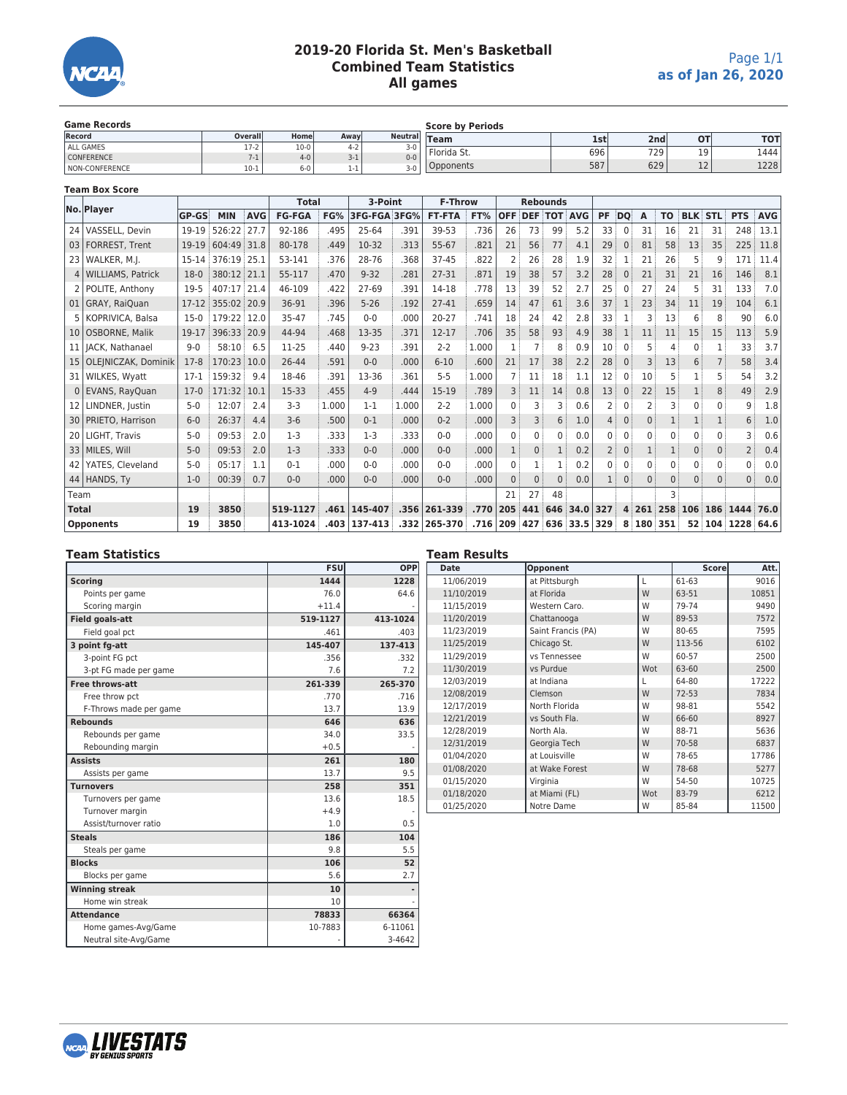

# **2019-20 Florida St. Men's Basketball Combined Team Statistics All games**

| <b>Game Records</b> |          |         |         | <b>Score by Periods</b> |             |     |                  |             |            |  |
|---------------------|----------|---------|---------|-------------------------|-------------|-----|------------------|-------------|------------|--|
| Record              | Overalll | Home    | Awavl   | <b>Neutrall</b>         | <b>Team</b> | 1st | 2nd <sub>i</sub> | <b>OT</b>   | <b>TOT</b> |  |
| ALL GAMES           | $17-2$   | $10-0$  | $4 - 2$ | $3-0$                   | Florida St. | 696 | 729 <sub>1</sub> | 1 Q         | 1444       |  |
| <b>CONFERENCE</b>   |          | $4 - 0$ | $3-1$   | $0 - 0$                 |             |     |                  |             |            |  |
| NON-CONFERENCE      | $10-1$   | 6-0     | 1-1     | $3-0$                   | )pponents   | 587 | 629              | $\sim$<br>ᆠ | 1228       |  |

#### **Team Box Score**

|                 | No. Player               |              |             |            | <b>Total</b>  |       | 3-Point      |       | <b>F-Throw</b> |       |            |                    | <b>Rebounds</b> |                      |              |              |          |           |                |          |                |            |
|-----------------|--------------------------|--------------|-------------|------------|---------------|-------|--------------|-------|----------------|-------|------------|--------------------|-----------------|----------------------|--------------|--------------|----------|-----------|----------------|----------|----------------|------------|
|                 |                          | <b>GP-GS</b> | <b>MIN</b>  | <b>AVG</b> | <b>FG-FGA</b> | FG%   | 3FG-FGA 3FG% |       | <b>FT-FTA</b>  | FT%   | <b>OFF</b> | <b>DEF TOT AVG</b> |                 |                      | <b>PF</b>    | DO           | A        | <b>TO</b> | <b>BLK STL</b> |          | <b>PTS</b>     | <b>AVG</b> |
|                 | 24 VASSELL, Devin        | 19-19        | 526:22      | 27.7       | 92-186        | .495  | 25-64        | .391  | 39-53          | .736  | 26         | 73                 | 99              | 5.2                  | 33           | $\Omega$     | 31       | 16        | 21             | 31       | 248            | 13.1       |
|                 | 03   FORREST, Trent      | 19-19        | 604:49 31.8 |            | 80-178        | .449  | 10-32        | .313  | 55-67          | .821  | 21         | 56                 | 77              | 4.1                  | 29           | $\mathbf{0}$ | 81       | 58        | 13             | 35       | 225            | 11.8       |
|                 | 23   WALKER, M.J.        | 15-14        | 376:19 25.1 |            | 53-141        | .376  | 28-76        | .368  | $37 - 45$      | .822  | 2          | 26                 | 28              | 1.9                  | 32           |              | 21       | 26        | 5              |          | 171            | 11.4       |
|                 | 4   WILLIAMS, Patrick    | $18-0$       | 380:12 21.1 |            | 55-117        | .470  | $9 - 32$     | .281  | 27-31          | .871  | 19         | 38                 | 57              | 3.2                  | 28           | $\Omega$     | 21       | 31        | 21             | 16       | 146            | 8.1        |
|                 | 2   POLITE, Anthony      | 19-5         | 407:17 21.4 |            | 46-109        | .422  | $27 - 69$    | .391  | 14-18          | .778  | 13         | 39                 | 52              | 2.7                  | 25           | 0            | 27       | 24        | 5              | 31       | 133            | 7.0        |
|                 | 01 GRAY, RaiOuan         | $17 - 12$    | 355:02 20.9 |            | 36-91         | .396  | $5 - 26$     | .192  | $27 - 41$      | .659  | 14         | 47                 | 61              | 3.6                  | 37           |              | 23       | 34        | 11             | 19       | 104            | 6.1        |
|                 | KOPRIVICA, Balsa         | $15-0$       | 179:22 12.0 |            | 35-47         | .745  | $0 - 0$      | .000  | $20 - 27$      | .741  | 18         | 24                 | 42              | 2.8                  | 33           |              |          | 13        | 6              | 8        | 90             | 6.0        |
|                 | 10   OSBORNE, Malik      | 19-17        | 396:33      | 20.9       | 44-94         | .468  | 13-35        | .371  | $12 - 17$      | .706  | 35         | 58                 | 93              | 4.9                  | 38           |              | 11       | 11        | 15             | 15       | 113            | 5.9        |
|                 | 11   JACK, Nathanael     | $9 - 0$      | 58:10       | 6.5        | 11-25         | .440  | $9 - 23$     | .391  | $2 - 2$        | 1.000 |            |                    | 8               | 0.9                  | 10           |              |          | Δ         |                |          | 33             | 3.7        |
|                 | 15   OLEJNICZAK, Dominik | $17-8$       | 170:23      | 10.0       | 26-44         | .591  | $0 - 0$      | .000  | $6 - 10$       | .600  | 21         | 17                 | 38              | 2.2                  | 28           |              |          | 13        | 6              |          | 58             | 3.4        |
|                 | 31   WILKES, Wyatt       | $17-1$       | 159:32      | 9.4        | 18-46         | .391  | 13-36        | .361  | $5 - 5$        | 1.000 |            | 11                 | 18              | 1.1                  | 12           |              | 10       |           |                |          | 54             | 3.2        |
|                 | 0 EVANS, RayQuan         | $17-0$       | 171:32      | 10.1       | 15-33         | .455  | $4 - 9$      | .444  | 15-19          | .789  | 3          | 11                 | 14              | 0.8                  | 13           |              | 22       | 15        |                | 8        | 49             | 2.9        |
| 12 <sub>1</sub> | LINDNER, Justin          | $5-0$        | 12:07       | 2.4        | $3-3$         | 1.000 | $1 - 1$      | 1.000 | $2 - 2$        | 1.000 | $\Omega$   | 3                  | 3               | 0.6                  |              |              |          |           | $\mathbf{0}$   | 0        | 9              | 1.8        |
|                 | 30   PRIETO, Harrison    | $6 - 0$      | 26:37       | 4.4        | $3-6$         | .500  | $0 - 1$      | .000  | $0 - 2$        | .000  |            | 3                  | 6               | 1.0                  |              |              |          |           |                |          | 6              | 1.0        |
|                 | 20   LIGHT, Travis       | $5-0$        | 09:53       | 2.0        | $1-3$         | .333  | $1-3$        | .333  | $0 - 0$        | .000  |            | $\Omega$           | $\mathbf{0}$    | 0.0                  | 0            |              |          | $\Omega$  | $\mathbf{0}$   | 0        |                | 0.6        |
|                 | 33   MILES, Will         | $5-0$        | 09:53       | 2.0        | $1 - 3$       | .333  | $0 - 0$      | .000  | $0 - 0$        | .000  |            | $\mathbf{0}$       | $\mathbf{1}$    | 0.2                  |              | $\mathbf{0}$ |          |           | $\mathbf{0}$   | 0        | $\overline{2}$ | 0.4        |
|                 | 42 YATES, Cleveland      | $5-0$        | 05:17       | 1.1        | $0 - 1$       | .000  | $0 - 0$      | .000  | $0 - 0$        | .000  | 0          |                    | 1               | 0.2                  | <sup>0</sup> | 0            | 0        | $\Omega$  | 0              | 0        | 0              | 0.0        |
|                 | 44 HANDS, Ty             | $1 - 0$      | 00:39       | 0.7        | $0 - 0$       | .000  | $0 - 0$      | .000  | $0 - 0$        | .000  | $\Omega$   | $\Omega$           | $\Omega$        | 0.0                  |              | $\Omega$     | $\Omega$ | $\Omega$  | $\Omega$       | $\Omega$ | $\Omega$       | 0.0        |
| Team            |                          |              |             |            |               |       |              |       |                |       | 21         | 27                 | 48              |                      |              |              |          | 3         |                |          |                |            |
| <b>Total</b>    |                          | 19           | 3850        |            | 519-1127      | .461  | 145-407      |       | $.356 261-339$ | .770  |            |                    |                 | 205 441 646 34.0 327 |              |              |          | 4 261 258 | 106            |          | 186 1444 76.0  |            |
|                 | <b>Opponents</b>         | 19           | 3850        |            | 413-1024      | .403  | 137-413      |       | .332 265-370   | .716  |            |                    |                 | 209 427 636 33.5 329 |              | 8            | 180 351  |           | 52             |          | 104 1228 64.6  |            |

### **Team Statistics**

|                        | <b>FSU</b> | OPP      |
|------------------------|------------|----------|
| <b>Scoring</b>         | 1444       | 1228     |
| Points per game        | 76.0       | 64.6     |
| Scoring margin         | $+11.4$    |          |
| <b>Field goals-att</b> | 519-1127   | 413-1024 |
| Field goal pct         | .461       | .403     |
| 3 point fq-att         | 145-407    | 137-413  |
| 3-point FG pct         | .356       | .332     |
| 3-pt FG made per game  | 7.6        | 7.2      |
| Free throws-att        | 261-339    | 265-370  |
| Free throw pct         | .770       | .716     |
| F-Throws made per game | 13.7       | 13.9     |
| <b>Rebounds</b>        | 646        | 636      |
| Rebounds per game      | 34.0       | 33.5     |
| Rebounding margin      | $+0.5$     |          |
| <b>Assists</b>         | 261        | 180      |
| Assists per game       | 13.7       | 9.5      |
| <b>Turnovers</b>       | 258        | 351      |
| Turnovers per game     | 13.6       | 18.5     |
| Turnover margin        | $+4.9$     |          |
| Assist/turnover ratio  | 1.0        | 0.5      |
| <b>Steals</b>          | 186        | 104      |
| Steals per game        | 9.8        | 5.5      |
| <b>Blocks</b>          | 106        | 52       |
| Blocks per game        | 5.6        | 2.7      |
| <b>Winning streak</b>  | 10         | ۰        |
| Home win streak        | 10         |          |
| <b>Attendance</b>      | 78833      | 66364    |
| Home games-Avg/Game    | 10-7883    | 6-11061  |
| Neutral site-Avg/Game  |            | 3-4642   |

| Team Results |                    |     |              |       |  |  |  |  |  |  |
|--------------|--------------------|-----|--------------|-------|--|--|--|--|--|--|
| <b>Date</b>  | Opponent           |     | <b>Score</b> | Att.  |  |  |  |  |  |  |
| 11/06/2019   | at Pittsburgh      | L   | 61-63        | 9016  |  |  |  |  |  |  |
| 11/10/2019   | at Florida         | W   | 63-51        | 10851 |  |  |  |  |  |  |
| 11/15/2019   | Western Caro.      | W   | 79-74        | 9490  |  |  |  |  |  |  |
| 11/20/2019   | Chattanooga        | W   | 89-53        | 7572  |  |  |  |  |  |  |
| 11/23/2019   | Saint Francis (PA) | W   | 80-65        | 7595  |  |  |  |  |  |  |
| 11/25/2019   | Chicago St.        | W   | 113-56       | 6102  |  |  |  |  |  |  |
| 11/29/2019   | vs Tennessee       | W   | 60-57        | 2500  |  |  |  |  |  |  |
| 11/30/2019   | vs Purdue          | Wot | 63-60        | 2500  |  |  |  |  |  |  |
| 12/03/2019   | at Indiana         | L   | 64-80        | 17222 |  |  |  |  |  |  |
| 12/08/2019   | Clemson            | W   | $72 - 53$    | 7834  |  |  |  |  |  |  |
| 12/17/2019   | North Florida      | W   | 98-81        | 5542  |  |  |  |  |  |  |
| 12/21/2019   | vs South Fla.      | W   | 66-60        | 8927  |  |  |  |  |  |  |
| 12/28/2019   | North Ala.         | W   | 88-71        | 5636  |  |  |  |  |  |  |
| 12/31/2019   | Georgia Tech       | W   | 70-58        | 6837  |  |  |  |  |  |  |
| 01/04/2020   | at Louisville      | W   | 78-65        | 17786 |  |  |  |  |  |  |
| 01/08/2020   | at Wake Forest     | W   | 78-68        | 5277  |  |  |  |  |  |  |
| 01/15/2020   | Virginia           | W   | 54-50        | 10725 |  |  |  |  |  |  |
| 01/18/2020   | at Miami (FL)      | Wot | 83-79        | 6212  |  |  |  |  |  |  |
| 01/25/2020   | Notre Dame         | W   | 85-84        | 11500 |  |  |  |  |  |  |